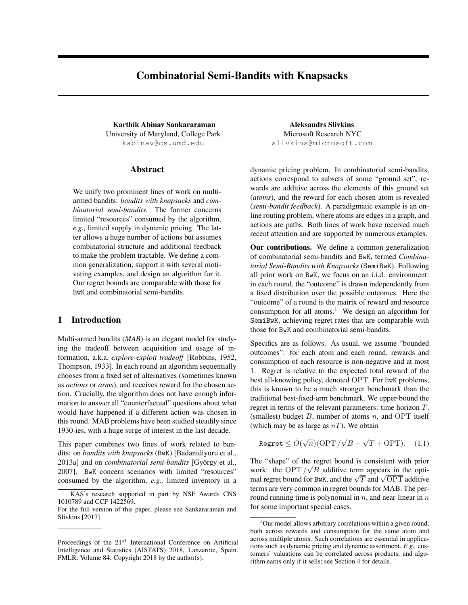# Combinatorial Semi-Bandits with Knapsacks

Karthik Abinav Sankararaman Manuel Aleksandrs Slivkins University of Maryland, College Park kabinav@cs.umd.edu

### Abstract

We unify two prominent lines of work on multiarmed bandits: *bandits with knapsacks* and *combinatorial semi-bandits*. The former concerns limited "resources" consumed by the algorithm, *e.g.,* limited supply in dynamic pricing. The latter allows a huge number of actions but assumes combinatorial structure and additional feedback to make the problem tractable. We define a common generalization, support it with several motivating examples, and design an algorithm for it. Our regret bounds are comparable with those for BwK and combinatorial semi-bandits.

## 1 Introduction

Multi-armed bandits (*MAB*) is an elegant model for studying the tradeoff between acquisition and usage of information, a.k.a. *explore-exploit tradeoff* [Robbins, 1952, Thompson, 1933]. In each round an algorithm sequentially chooses from a fixed set of alternatives (sometimes known as *actions* or *arms*), and receives reward for the chosen action. Crucially, the algorithm does not have enough information to answer all "counterfactual" questions about what would have happened if a different action was chosen in this round. MAB problems have been studied steadily since 1930-ies, with a huge surge of interest in the last decade.

This paper combines two lines of work related to bandits: on *bandits with knapsacks* (BwK) [Badanidiyuru et al., 2013a] and on *combinatorial semi-bandits* [György et al., 2007]. BwK concern scenarios with limited "resources" consumed by the algorithm, *e.g.,* limited inventory in a

Microsoft Research NYC slivkins@microsoft.com

dynamic pricing problem. In combinatorial semi-bandits, actions correspond to subsets of some "ground set", rewards are additive across the elements of this ground set (*atoms*), and the reward for each chosen atom is revealed (*semi-bandit feedback*). A paradigmatic example is an online routing problem, where atoms are edges in a graph, and actions are paths. Both lines of work have received much recent attention and are supported by numerous examples.

Our contributions. We define a common generalization of combinatorial semi-bandits and BwK, termed *Combinatorial Semi-Bandits with Knapsacks* (SemiBwK). Following all prior work on BwK, we focus on an i.i.d. environment: in each round, the "outcome" is drawn independently from a fixed distribution over the possible outcomes. Here the "outcome" of a round is the matrix of reward and resource consumption for all atoms.<sup>1</sup> We design an algorithm for SemiBwK, achieving regret rates that are comparable with those for BwK and combinatorial semi-bandits.

Specifics are as follows. As usual, we assume "bounded outcomes": for each atom and each round, rewards and consumption of each resource is non-negative and at most 1. Regret is relative to the expected total reward of the best all-knowing policy, denoted OPT. For BwK problems, this is known to be a much stronger benchmark than the traditional best-fixed-arm benchmark. We upper-bound the regret in terms of the relevant parameters: time horizon *T*, (smallest) budget *B*, number of atoms *n*, and OPT itself (which may be as large as *nT*). We obtain

$$
\text{Regret} \le \tilde{O}(\sqrt{n})(\text{OPT}/\sqrt{B} + \sqrt{T + \text{OPT}}). \quad (1.1)
$$

The "shape" of the regret bound is consistent with prior work: the OPT  $/\sqrt{B}$  additive term appears in the optimal regret bound for BwK, and the  $\sqrt{T}$  and  $\sqrt{OPT}$  additive terms are very common in regret bounds for MAB. The perround running time is polynomial in *n*, and near-linear in *n* for some important special cases.

KAS's research supported in part by NSF Awards CNS 1010789 and CCF 1422569.

For the full version of this paper, please see Sankararaman and Slivkins [2017]

Proceedings of the 21*st* International Conference on Artificial Intelligence and Statistics (AISTATS) 2018, Lanzarote, Spain. PMLR: Volume 84. Copyright 2018 by the author(s).

<sup>&</sup>lt;sup>1</sup>Our model allows arbitrary correlations within a given round, both across rewards and consumption for the same atom and across multiple atoms. Such correlations are essential in applications such as dynamic pricing and dynamic assortment. *E.g.,* customers' valuations can be correlated across products, and algorithm earns only if it sells; see Section 4 for details.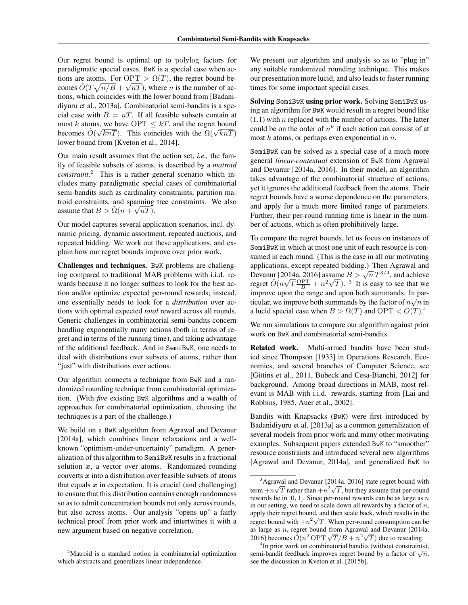Our regret bound is optimal up to polylog factors for paradigmatic special cases. BwK is a special case when actions are atoms. For  $\text{OPT} > \Omega(T)$ , the regret bound becomes  $\tilde{O}(T\sqrt{n/B} + \sqrt{nT})$ , where *n* is the number of actions, which coincides with the lower bound from [Badanidiyuru et al., 2013a]. Combinatorial semi-bandits is a special case with  $B = nT$ . If all feasible subsets contain at most *k* atoms, we have OPT  $\leq kT$ , and the regret bound becomes  $\tilde{O}(\sqrt{knT})$ . This coincides with the  $\Omega(\sqrt{knT})$ lower bound from [Kveton et al., 2014].

Our main result assumes that the action set, *i.e.,* the family of feasible subsets of atoms, is described by a *matroid constraint*. <sup>2</sup> This is a rather general scenario which includes many paradigmatic special cases of combinatorial semi-bandits such as cardinality constraints, partition matroid constraints, and spanning tree constraints. We also assume that  $B > \tilde{\Omega}(n + \sqrt{nT})$ .

Our model captures several application scenarios, incl. dynamic pricing, dynamic assortment, repeated auctions, and repeated bidding. We work out these applications, and explain how our regret bounds improve over prior work.

Challenges and techniques. BwK problems are challenging compared to traditional MAB problems with i.i.d. rewards because it no longer suffices to look for the best action and/or optimize expected per-round rewards; instead, one essentially needs to look for a *distribution* over actions with optimal expected *total* reward across all rounds. Generic challenges in combinatorial semi-bandits concern handling exponentially many actions (both in terms of regret and in terms of the running time), and taking advantage of the additional feedback. And in SemiBwK, one needs to deal with distributions over subsets of atoms, rather than "just" with distributions over actions.

Our algorithm connects a technique from BwK and a randomized rounding technique from combinatorial optimization. (With *five* existing BwK algorithms and a wealth of approaches for combinatorial optimization, choosing the techniques is a part of the challenge.)

We build on a BwK algorithm from Agrawal and Devanur [2014a], which combines linear relaxations and a wellknown "optimism-under-uncertainty" paradigm. A generalization of this algorithm to SemiBwK results in a fractional solution *x*, a vector over atoms. Randomized rounding converts *x* into a distribution over feasible subsets of atoms that equals  $x$  in expectation. It is crucial (and challenging) to ensure that this distribution contains enough randomness so as to admit concentration bounds not only across rounds, but also across atoms. Our analysis "opens up" a fairly technical proof from prior work and intertwines it with a new argument based on negative correlation.

We present our algorithm and analysis so as to "plug in" any suitable randomized rounding technique. This makes our presentation more lucid, and also leads to faster running times for some important special cases.

Solving SemiBwK using prior work. Solving SemiBwK using an algorithm for BwK would result in a regret bound like (1.1) with *n* replaced with the number of actions. The latter could be on the order of  $n^k$  if each action can consist of at most *k* atoms, or perhaps even exponential in *n*.

SemiBwK can be solved as a special case of a much more general *linear-contextual* extension of BwK from Agrawal and Devanur [2014a, 2016]. In their model, an algorithm takes advantage of the combinatorial structure of actions, yet it ignores the additional feedback from the atoms. Their regret bounds have a worse dependence on the parameters, and apply for a much more limited range of parameters. Further, their per-round running time is linear in the number of actions, which is often prohibitively large.

To compare the regret bounds, let us focus on instances of SemiBwK in which at most one unit of each resource is consumed in each round. (This is the case in all our motivating applications, except repeated bidding.) Then Agrawal and Devanur [2014a, 2016] assume  $B > \sqrt{n} T^{3/4}$ , and achieve regret  $\tilde{O}(n\sqrt{T}\frac{\text{OPT}}{B} + n^2\sqrt{T})$ . <sup>3</sup> It is easy to see that we improve upon the range and upon both summands. In particular, we improve both summands by the factor of  $n\sqrt{n}$  in a lucid special case when  $B > \Omega(T)$  and OPT  $< O(T)$ .<sup>4</sup>

We run simulations to compare our algorithm against prior work on BwK and combinatorial semi-bandits.

Related work. Multi-armed bandits have been studied since Thompson [1933] in Operations Research, Economics, and several branches of Computer Science, see [Gittins et al., 2011, Bubeck and Cesa-Bianchi, 2012] for background. Among broad directions in MAB, most relevant is MAB with i.i.d. rewards, starting from [Lai and Robbins, 1985, Auer et al., 2002].

Bandits with Knapsacks (BwK) were first introduced by Badanidiyuru et al. [2013a] as a common generalization of several models from prior work and many other motivating examples. Subsequent papers extended BwK to "smoother" resource constraints and introduced several new algorithms [Agrawal and Devanur, 2014a], and generalized BwK to

<sup>&</sup>lt;sup>2</sup>Matroid is a standard notion in combinatorial optimization which abstracts and generalizes linear independence.

<sup>&</sup>lt;sup>3</sup>Agrawal and Devanur [2014a, 2016] state regret bound with term  $+n\sqrt{T}$  rather than  $+n^2\sqrt{T}$ , but they assume that per-round rewards lie in [0*,* 1]. Since per-round rewards can be as large as *n* in our setting, we need to scale down all rewards by a factor of *n*, apply their regret bound, and then scale back, which results in the regret bound with  $+n^2\sqrt{T}$ . When per-round consumption can be as large as *n*, regret bound from Agrawal and Devanur [2014a, 2016] becomes  $\tilde{O}(n^2 \text{ OPT } \sqrt{T}/B + n^2\sqrt{T})$  due to rescaling.

<sup>&</sup>lt;sup>4</sup>In prior work on combinatorial bandits (without constraints), semi-bandit feedback improves regret bound by a factor of  $\sqrt{n}$ , see the discussion in Kveton et al. [2015b].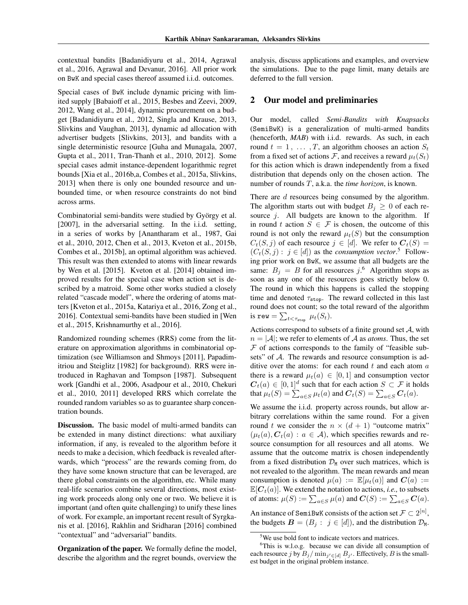contextual bandits [Badanidiyuru et al., 2014, Agrawal et al., 2016, Agrawal and Devanur, 2016]. All prior work on BwK and special cases thereof assumed i.i.d. outcomes.

Special cases of BwK include dynamic pricing with limited supply [Babaioff et al., 2015, Besbes and Zeevi, 2009, 2012, Wang et al., 2014], dynamic procurement on a budget [Badanidiyuru et al., 2012, Singla and Krause, 2013, Slivkins and Vaughan, 2013], dynamic ad allocation with advertiser budgets [Slivkins, 2013], and bandits with a single deterministic resource [Guha and Munagala, 2007, Gupta et al., 2011, Tran-Thanh et al., 2010, 2012]. Some special cases admit instance-dependent logarithmic regret bounds [Xia et al., 2016b,a, Combes et al., 2015a, Slivkins, 2013] when there is only one bounded resource and unbounded time, or when resource constraints do not bind across arms.

Combinatorial semi-bandits were studied by György et al. [2007], in the adversarial setting. In the i.i.d. setting, in a series of works by [Anantharam et al., 1987, Gai et al., 2010, 2012, Chen et al., 2013, Kveton et al., 2015b, Combes et al., 2015b], an optimal algorithm was achieved. This result was then extended to atoms with linear rewards by Wen et al. [2015]. Kveton et al. [2014] obtained improved results for the special case when action set is described by a matroid. Some other works studied a closely related "cascade model", where the ordering of atoms matters [Kveton et al., 2015a, Katariya et al., 2016, Zong et al., 2016]. Contextual semi-bandits have been studied in [Wen et al., 2015, Krishnamurthy et al., 2016].

Randomized rounding schemes (RRS) come from the literature on approximation algorithms in combinatorial optimization (see Williamson and Shmoys [2011], Papadimitriou and Steiglitz [1982] for background). RRS were introduced in Raghavan and Tompson [1987]. Subsequent work [Gandhi et al., 2006, Asadpour et al., 2010, Chekuri et al., 2010, 2011] developed RRS which correlate the rounded random variables so as to guarantee sharp concentration bounds.

Discussion. The basic model of multi-armed bandits can be extended in many distinct directions: what auxiliary information, if any, is revealed to the algorithm before it needs to make a decision, which feedback is revealed afterwards, which "process" are the rewards coming from, do they have some known structure that can be leveraged, are there global constraints on the algorithm, etc. While many real-life scenarios combine several directions, most existing work proceeds along only one or two. We believe it is important (and often quite challenging) to unify these lines of work. For example, an important recent result of Syrgkanis et al. [2016], Rakhlin and Sridharan [2016] combined "contextual" and "adversarial" bandits.

Organization of the paper. We formally define the model, describe the algorithm and the regret bounds, overview the analysis, discuss applications and examples, and overview the simulations. Due to the page limit, many details are deferred to the full version.

### 2 Our model and preliminaries

Our model, called *Semi-Bandits with Knapsacks* (SemiBwK) is a generalization of multi-armed bandits (henceforth, *MAB*) with i.i.d. rewards. As such, in each round  $t = 1, \ldots, T$ , an algorithm chooses an action  $S_t$ from a fixed set of actions *F*, and receives a reward  $\mu_t(S_t)$ for this action which is drawn independently from a fixed distribution that depends only on the chosen action. The number of rounds *T*, a.k.a. the *time horizon*, is known.

There are *d* resources being consumed by the algorithm. The algorithm starts out with budget  $B_i \geq 0$  of each resource *j*. All budgets are known to the algorithm. If in round *t* action  $S \in \mathcal{F}$  is chosen, the outcome of this round is not only the reward  $\mu_t(S)$  but the consumption  $C_t(S, j)$  of each resource  $j \in [d]$ . We refer to  $C_t(S) =$  $(C_t(S, j) : j \in [d])$  as the *consumption vector*.<sup>5</sup> Following prior work on BwK, we assume that all budgets are the same:  $B_j = B$  for all resources  $j$ .<sup>6</sup> Algorithm stops as soon as any one of the resources goes strictly below 0. The round in which this happens is called the stopping time and denoted  $\tau_{\text{stop}}$ . The reward collected in this last round does not count; so the total reward of the algorithm is rew  $= \sum_{t < \tau_{\text{stop}}} \mu_t(S_t).$ 

Actions correspond to subsets of a finite ground set *A*, with  $n = |A|$ ; we refer to elements of A as *atoms*. Thus, the set *F* of actions corresponds to the family of "feasible subsets" of *A*. The rewards and resource consumption is additive over the atoms: for each round *t* and each atom *a* there is a reward  $\mu_t(a) \in [0,1]$  and consumption vector  $C_t(a) \in [0,1]^d$  such that for each action  $S \subset \mathcal{F}$  it holds that  $\mu_t(S) = \sum_{a \in S} \mu_t(a)$  and  $\mathbf{C}_t(S) = \sum_{a \in S} \mathbf{C}_t(a)$ .

We assume the i.i.d. property across rounds, but allow arbitrary correlations within the same round. For a given round *t* we consider the  $n \times (d + 1)$  "outcome matrix"  $(\mu_t(a), \mathbf{C}_t(a) : a \in \mathcal{A})$ , which specifies rewards and resource consumption for all resources and all atoms. We assume that the outcome matrix is chosen independently from a fixed distribution  $\mathcal{D}_M$  over such matrices, which is not revealed to the algorithm. The mean rewards and mean consumption is denoted  $\mu(a) := \mathbb{E}[\mu_t(a)]$  and  $C(a) :=$  $\mathbb{E}[C_t(a)]$ . We extend the notation to actions, *i.e.*, to subsets of atoms:  $\mu(S) := \sum_{a \in S} \mu(a)$  and  $\mathbf{C}(S) := \sum_{a \in S} \mathbf{C}(a)$ .

An instance of SemiBwK consists of the action set  $\mathcal{F} \subset 2^{[n]}$ , the budgets  $\mathbf{B} = (B_i : j \in [d])$ , and the distribution  $\mathcal{D}_M$ .

<sup>&</sup>lt;sup>5</sup>We use bold font to indicate vectors and matrices.

<sup>&</sup>lt;sup>6</sup>This is w.l.o.g. because we can divide all consumption of each resource *j* by  $B_j / \min_{j' \in [d]} B_{j'}$ . Effectively, *B* is the smallest budget in the original problem instance.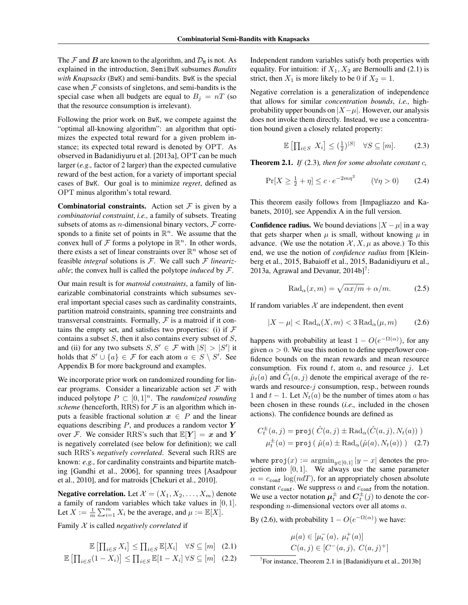The  $\mathcal F$  and  $\mathbf B$  are known to the algorithm, and  $\mathcal D_M$  is not. As explained in the introduction, SemiBwK subsumes *Bandits with Knapsacks* (BwK) and semi-bandits. BwK is the special case when  $F$  consists of singletons, and semi-bandits is the special case when all budgets are equal to  $B_i = nT$  (so that the resource consumption is irrelevant).

Following the prior work on BwK, we compete against the "optimal all-knowing algorithm": an algorithm that optimizes the expected total reward for a given problem instance; its expected total reward is denoted by OPT. As observed in Badanidiyuru et al. [2013a], OPT can be much larger (*e.g.,* factor of 2 larger) than the expected cumulative reward of the best action, for a variety of important special cases of BwK. Our goal is to minimize *regret*, defined as OPT minus algorithm's total reward.

**Combinatorial constraints.** Action set  $\mathcal F$  is given by a *combinatorial constraint*, *i.e.,* a family of subsets. Treating subsets of atoms as *n*-dimensional binary vectors,  $\mathcal F$  corresponds to a finite set of points in  $\mathbb{R}^n$ . We assume that the convex hull of  $\mathcal F$  forms a polytope in  $\mathbb R^n$ . In other words, there exists a set of linear constraints over  $\mathbb{R}^n$  whose set of feasible *integral* solutions is *F*. We call such *F linearizable*; the convex hull is called the polytope *induced* by *F*.

Our main result is for *matroid constraints*, a family of linearizable combinatorial constraints which subsumes several important special cases such as cardinality constraints, partition matroid constraints, spanning tree constraints and transversal constraints. Formally, *F* is a matroid if it contains the empty set, and satisfies two properties: (i) if  $F$ contains a subset *S*, then it also contains every subset of *S*, and (ii) for any two subsets  $S, S' \in \mathcal{F}$  with  $|S| > |S'|$  it holds that  $S' \cup \{a\} \in \mathcal{F}$  for each atom  $a \in S \setminus S'$ . See Appendix B for more background and examples.

We incorporate prior work on randomized rounding for linear programs. Consider a linearizable action set *F* with induced polytope  $P \subset [0, 1]^n$ . The *randomized rounding scheme* (henceforth, RRS) for  $F$  is an algorithm which inputs a feasible fractional solution  $x \in P$  and the linear equations describing *P*, and produces a random vector *Y* over *F*. We consider RRS's such that  $\mathbb{E}[Y] = x$  and *Y* is negatively correlated (see below for definition); we call such RRS's *negatively correlated*. Several such RRS are known: *e.g.,* for cardinality constraints and bipartite matching [Gandhi et al., 2006], for spanning trees [Asadpour et al., 2010], and for matroids [Chekuri et al., 2010].

**Negative correlation.** Let  $\mathcal{X} = (X_1, X_2, \ldots, X_m)$  denote a family of random variables which take values in [0*,* 1]. Let  $X := \frac{1}{m} \sum_{i=1}^{m} X_i$  be the average, and  $\mu := \mathbb{E}[X]$ .

Family *X* is called *negatively correlated* if

$$
\mathbb{E}\left[\prod_{i\in S} X_i\right] \leq \prod_{i\in S} \mathbb{E}[X_i] \quad \forall S \subseteq [m] \quad (2.1)
$$

$$
\mathbb{E}\left[\prod_{i\in S} (1 - X_i)\right] \leq \prod_{i\in S} \mathbb{E}[1 - X_i] \quad \forall S \subseteq [m] \quad (2.2)
$$

Independent random variables satisfy both properties with equality. For intuition: if  $X_1, X_2$  are Bernoulli and (2.1) is strict, then  $X_1$  is more likely to be 0 if  $X_2 = 1$ .

Negative correlation is a generalization of independence that allows for similar *concentration bounds*, *i.e.,* highprobability upper bounds on  $|X-\mu|$ . However, our analysis does not invoke them directly. Instead, we use a concentration bound given a closely related property:

$$
\mathbb{E}\left[\prod_{i\in S} X_i\right] \le \left(\frac{1}{2}\right)^{|S|} \quad \forall S \subseteq [m].\tag{2.3}
$$

Theorem 2.1. *If* (2.3)*, then for some absolute constant c,*

$$
\Pr[X \ge \frac{1}{2} + \eta] \le c \cdot e^{-2m\eta^2} \qquad (\forall \eta > 0) \qquad (2.4)
$$

This theorem easily follows from [Impagliazzo and Kabanets, 2010], see Appendix A in the full version.

**Confidence radius.** We bound deviations  $|X - \mu|$  in a way that gets sharper when  $\mu$  is small, without knowing  $\mu$  in advance. (We use the notation  $X, X, \mu$  as above.) To this end, we use the notion of *confidence radius* from [Kleinberg et al., 2015, Babaioff et al., 2015, Badanidiyuru et al., 2013a, Agrawal and Devanur,  $2014b$ <sup>7</sup>:

$$
Rad_{\alpha}(x,m) = \sqrt{\alpha x/m} + \alpha/m.
$$
 (2.5)

If random variables  $X$  are independent, then event

$$
|X - \mu| < \text{Rad}_{\alpha}(X, m) < 3\text{Rad}_{\alpha}(\mu, m) \tag{2.6}
$$

happens with probability at least  $1 - O(e^{-\Omega(\alpha)})$ , for any given  $\alpha > 0$ . We use this notion to define upper/lower confidence bounds on the mean rewards and mean resource consumption. Fix round *t*, atom *a*, and resource *j*. Let  $\hat{\mu}_t(a)$  and  $\hat{C}_t(a, j)$  denote the empirical average of the rewards and resource-*j* consumption, resp., between rounds 1 and  $t - 1$ . Let  $N_t(a)$  be the number of times atom *a* has been chosen in these rounds (*i.e.,* included in the chosen actions). The confidence bounds are defined as

$$
C_t^{\pm}(a,j) = \text{proj}\left(\hat{C}(a,j) \pm \text{Rad}_{\alpha}(\hat{C}(a,j), N_t(a))\right)
$$

$$
\mu_t^{\pm}(a) = \text{proj}\left(\hat{\mu}(a) \pm \text{Rad}_{\alpha}(\hat{\mu}(a), N_t(a))\right) \quad (2.7)
$$

where  $proj(x) := argmin_{y \in [0,1]} |y - x|$  denotes the projection into [0*,* 1]. We always use the same parameter  $\alpha = c_{\text{conf}} \log(ndT)$ , for an appropriately chosen absolute constant  $c_{\text{conf}}$ . We suppress  $\alpha$  and  $c_{\text{conf}}$  from the notation. We use a vector notation  $\mu_t^{\pm}$  and  $C_t^{\pm}(j)$  to denote the corresponding *n*-dimensional vectors over all atoms *a*.

By (2.6), with probability  $1 - O(e^{-\Omega(\alpha)})$  we have:

$$
\mu(a) \in [\mu_t^-(a), \mu_t^+(a)]
$$
  

$$
C(a,j) \in [C^-(a,j), C(a,j)^+]
$$

<sup>7</sup>For instance, Theorem 2.1 in [Badanidiyuru et al., 2013b]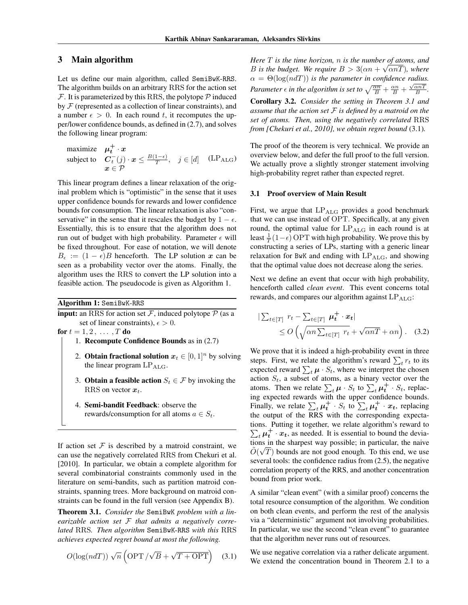# 3 Main algorithm

Let us define our main algorithm, called SemiBwK-RRS. The algorithm builds on an arbitrary RRS for the action set  $F$ . It is parameterized by this RRS, the polytope  $P$  induced by *F* (represented as a collection of linear constraints), and a number  $\epsilon > 0$ . In each round *t*, it recomputes the upper/lower confidence bounds, as defined in (2.7), and solves the following linear program:

maximize 
$$
\mu_t^+ \cdot x
$$
  
\nsubject to  $C_t^-(j) \cdot x \le \frac{B(1-\epsilon)}{T}, \quad j \in [d]$  (LP<sub>ALG</sub>)  
\n $x \in \mathcal{P}$ 

This linear program defines a linear relaxation of the original problem which is "optimistic" in the sense that it uses upper confidence bounds for rewards and lower confidence bounds for consumption. The linear relaxation is also "conservative" in the sense that it rescales the budget by  $1 - \epsilon$ . Essentially, this is to ensure that the algorithm does not run out of budget with high probability. Parameter  $\epsilon$  will be fixed throughout. For ease of notation, we will denote  $B_{\epsilon} := (1 - \epsilon)B$  henceforth. The LP solution *x* can be seen as a probability vector over the atoms. Finally, the algorithm uses the RRS to convert the LP solution into a feasible action. The pseudocode is given as Algorithm 1.

Algorithm 1: SemiBwK-RRS

**input:** an RRS for action set  $\mathcal{F}$ , induced polytope  $\mathcal{P}$  (as a set of linear constraints),  $\epsilon > 0$ .

**for**  $t = 1, 2, ..., T$  **do** 

- 1. Recompute Confidence Bounds as in (2.7)
- 2. **Obtain fractional solution**  $x_t \in [0, 1]^n$  by solving the linear program LP<sub>ALG</sub>.
- 3. **Obtain a feasible action**  $S_t \in \mathcal{F}$  by invoking the RRS on vector *xt*.
- 4. Semi-bandit Feedback: observe the rewards/consumption for all atoms  $a \in S_t$ .

If action set  $F$  is described by a matroid constraint, we can use the negatively correlated RRS from Chekuri et al. [2010]. In particular, we obtain a complete algorithm for several combinatorial constraints commonly used in the literature on semi-bandits, such as partition matroid constraints, spanning trees. More background on matroid constraints can be found in the full version (see Appendix B).

Theorem 3.1. *Consider the* SemiBwK *problem with a linearizable action set F that admits a negatively correlated* RRS*. Then algorithm* SemiBwK-RRS *with this* RRS *achieves expected regret bound at most the following.*

$$
O(\log(ndT))\sqrt{n}\left(\text{OPT}/\sqrt{B} + \sqrt{T + \text{OPT}}\right) \quad (3.1)
$$

*Here T is the time horizon, n is the number of atoms, and B* is the budget. We require  $B > 3(\alpha n + \sqrt{\alpha nT})$ , where  $\alpha = \Theta(\log(n dT))$  *is the parameter in confidence radius. Parameter*  $\epsilon$  *in the algorithm is set to*  $\sqrt{\frac{\alpha n}{B}} + \frac{\alpha n}{B} + \frac{\sqrt{\alpha nT}}{B}$ .

Corollary 3.2. *Consider the setting in Theorem 3.1 and assume that the action set F is defined by a matroid on the set of atoms. Then, using the negatively correlated* RRS *from [Chekuri et al., 2010], we obtain regret bound* (3.1)*.*

The proof of the theorem is very technical. We provide an overview below, and defer the full proof to the full version. We actually prove a slightly stronger statement involving high-probability regret rather than expected regret.

#### 3.1 Proof overview of Main Result

First, we argue that LP<sub>ALG</sub> provides a good benchmark that we can use instead of OPT. Specifically, at any given round, the optimal value for LP<sub>ALG</sub> in each round is at least  $\frac{1}{T}(1-\epsilon)$  OPT with high probability. We prove this by constructing a series of LPs, starting with a generic linear relaxation for BwK and ending with  $LP_{ALG}$ , and showing that the optimal value does not decrease along the series.

Next we define an event that occur with high probability, henceforth called *clean event*. This event concerns total rewards, and compares our algorithm against LP<sub>ALG</sub>:

$$
\begin{aligned} \left| \sum_{t \in [T]} r_t - \sum_{t \in [T]} \mu_t^+ \cdot x_t \right| \\ &\le O\left(\sqrt{\alpha n \sum_{t \in [T]} r_t} + \sqrt{\alpha n} T + \alpha n\right). \end{aligned} \tag{3.2}
$$

We prove that it is indeed a high-probability event in three steps. First, we relate the algorithm's reward  $\sum_t r_t$  to its expected reward  $\sum_{t} \mu \cdot S_t$ , where we interpret the chosen action  $S_t$ , a subset of atoms, as a binary vector over the atoms. Then we relate  $\sum_{t} \mu \cdot S_t$  to  $\sum_{t} \mu_t^+ \cdot S_t$ , replacing expected rewards with the upper confidence bounds. Finally, we relate  $\sum_{t} \mu_t^+ \cdot S_t$  to  $\sum_{t} \mu_t^+ \cdot x_t$ , replacing the output of the RRS with the corresponding expectations. Putting it together, we relate algorithm's reward to  $\sum_{t} \mu_t^+ \cdot x_t$ , as needed. It is essential to bound the deviations in the sharpest way possible; in particular, the naive  $\tilde{O}(\sqrt{T})$  bounds are not good enough. To this end, we use several tools: the confidence radius from (2.5), the negative correlation property of the RRS, and another concentration bound from prior work.

A similar "clean event" (with a similar proof) concerns the total resource consumption of the algorithm. We condition on both clean events, and perform the rest of the analysis via a "deterministic" argument not involving probabilities. In particular, we use the second "clean event" to guarantee that the algorithm never runs out of resources.

We use negative correlation via a rather delicate argument. We extend the concentration bound in Theorem 2.1 to a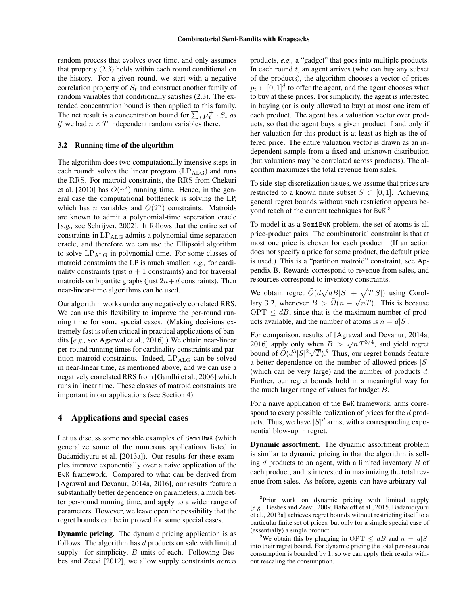random process that evolves over time, and only assumes that property (2.3) holds within each round conditional on the history. For a given round, we start with a negative correlation property of *S<sup>t</sup>* and construct another family of random variables that conditionally satisfies (2.3). The extended concentration bound is then applied to this family. The net result is a concentration bound for  $\sum_{t} \mu_t^+ \cdot S_t$  *as if* we had  $n \times T$  independent random variables there.

#### 3.2 Running time of the algorithm

The algorithm does two computationally intensive steps in each round: solves the linear program  $(LP<sub>ALG</sub>)$  and runs the RRS. For matroid constraints, the RRS from Chekuri et al. [2010] has  $O(n^2)$  running time. Hence, in the general case the computational bottleneck is solving the LP, which has *n* variables and  $O(2^n)$  constraints. Matroids are known to admit a polynomial-time seperation oracle [*e.g.,* see Schrijver, 2002]. It follows that the entire set of constraints in  $LP<sub>ALG</sub>$  admits a polynomial-time separation oracle, and therefore we can use the Ellipsoid algorithm to solve  $LP_{\text{ALG}}$  in polynomial time. For some classes of matroid constraints the LP is much smaller: *e.g.,* for cardinality constraints (just  $d + 1$  constraints) and for traversal matroids on bipartite graphs (just  $2n+d$  constraints). Then near-linear-time algorithms can be used.

Our algorithm works under any negatively correlated RRS. We can use this flexibility to improve the per-round running time for some special cases. (Making decisions extremely fast is often critical in practical applications of bandits [*e.g.,* see Agarwal et al., 2016].) We obtain near-linear per-round running times for cardinality constraints and partition matroid constraints. Indeed,  $LP_{ALG}$  can be solved in near-linear time, as mentioned above, and we can use a negatively correlated RRS from [Gandhi et al., 2006] which runs in linear time. These classes of matroid constraints are important in our applications (see Section 4).

### 4 Applications and special cases

Let us discuss some notable examples of SemiBwK (which generalize some of the numerous applications listed in Badanidiyuru et al. [2013a]). Our results for these examples improve exponentially over a naive application of the BwK framework. Compared to what can be derived from [Agrawal and Devanur, 2014a, 2016], our results feature a substantially better dependence on parameters, a much better per-round running time, and apply to a wider range of parameters. However, we leave open the possibility that the regret bounds can be improved for some special cases.

Dynamic pricing. The dynamic pricing application is as follows. The algorithm has *d* products on sale with limited supply: for simplicity, *B* units of each. Following Besbes and Zeevi [2012], we allow supply constraints *across*

products, *e.g.,* a "gadget" that goes into multiple products. In each round *t*, an agent arrives (who can buy any subset of the products), the algorithm chooses a vector of prices  $p_t \in [0, 1]^d$  to offer the agent, and the agent chooses what to buy at these prices. For simplicity, the agent is interested in buying (or is only allowed to buy) at most one item of each product. The agent has a valuation vector over products, so that the agent buys a given product if and only if her valuation for this product is at least as high as the offered price. The entire valuation vector is drawn as an independent sample from a fixed and unknown distribution (but valuations may be correlated across products). The algorithm maximizes the total revenue from sales.

To side-step discretization issues, we assume that prices are restricted to a known finite subset  $S \subset [0, 1]$ . Achieving general regret bounds without such restriction appears beyond reach of the current techniques for BwK.<sup>8</sup>

To model it as a SemiBwK problem, the set of atoms is all price-product pairs. The combinatorial constraint is that at most one price is chosen for each product. (If an action does not specify a price for some product, the default price is used.) This is a "partition matroid" constraint, see Appendix B. Rewards correspond to revenue from sales, and resources correspond to inventory constraints.

We obtain regret  $\tilde{O}(d\sqrt{dB|S|} + \sqrt{T|S|})$  using Corollary 3.2, whenever  $B > \tilde{\Omega}(n + \sqrt{nT})$ . This is because  $OPT \leq dB$ , since that is the maximum number of products available, and the number of atoms is  $n = d|S|$ .

For comparison, results of [Agrawal and Devanur, 2014a, 2016] apply only when  $B > \sqrt{n} T^{3/4}$ , and yield regret bound of  $\tilde{O}(d^3|S|^2\sqrt{T})$ .<sup>9</sup> Thus, our regret bounds feature a better dependence on the number of allowed prices *|S|* (which can be very large) and the number of products *d*. Further, our regret bounds hold in a meaningful way for the much larger range of values for budget *B*.

For a naive application of the BwK framework, arms correspond to every possible realization of prices for the *d* products. Thus, we have  $|S|^d$  arms, with a corresponding exponential blow-up in regret.

Dynamic assortment. The dynamic assortment problem is similar to dynamic pricing in that the algorithm is selling *d* products to an agent, with a limited inventory *B* of each product, and is interested in maximizing the total revenue from sales. As before, agents can have arbitrary val-

<sup>&</sup>lt;sup>8</sup>Prior work on dynamic pricing with limited supply [*e.g.,* Besbes and Zeevi, 2009, Babaioff et al., 2015, Badanidiyuru et al., 2013a] achieves regret bounds without restricting itself to a particular finite set of prices, but only for a simple special case of (essentially) a single product.

<sup>&</sup>lt;sup>9</sup>We obtain this by plugging in OPT  $\leq$  *dB* and  $n = d|S|$ into their regret bound. For dynamic pricing the total per-resource consumption is bounded by 1, so we can apply their results without rescaling the consumption.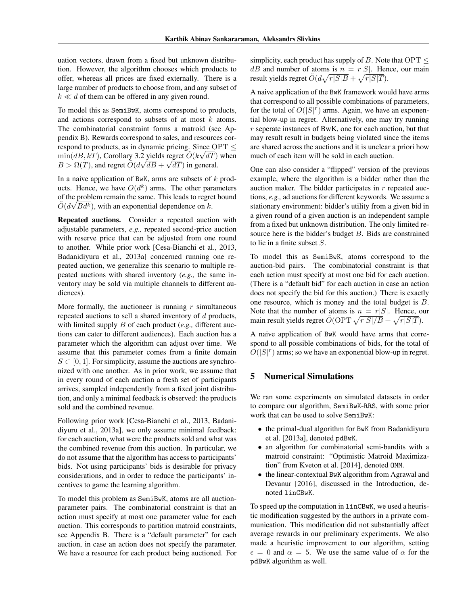uation vectors, drawn from a fixed but unknown distribution. However, the algorithm chooses which products to offer, whereas all prices are fixed externally. There is a large number of products to choose from, and any subset of  $k \ll d$  of them can be offered in any given round.

To model this as SemiBwK, atoms correspond to products, and actions correspond to subsets of at most *k* atoms. The combinatorial constraint forms a matroid (see Appendix B). Rewards correspond to sales, and resources correspond to products, as in dynamic pricing. Since  $\text{OPT} \leq$  $\min(dB, kT)$ , Corollary 3.2 yields regret  $\tilde{O}(k\sqrt{dT})$  when  $B > \Omega(T)$ , and regret  $\tilde{O}(d\sqrt{dB} + \sqrt{dT})$  in general.

In a naive application of BwK, arms are subsets of *k* products. Hence, we have  $O(d^k)$  arms. The other parameters of the problem remain the same. This leads to regret bound  $\tilde{O}(d\sqrt{Bd^k})$ , with an exponential dependence on *k*.

Repeated auctions. Consider a repeated auction with adjustable parameters, *e.g.,* repeated second-price auction with reserve price that can be adjusted from one round to another. While prior work [Cesa-Bianchi et al., 2013, Badanidiyuru et al., 2013a] concerned running one repeated auction, we generalize this scenario to multiple repeated auctions with shared inventory (*e.g.,* the same inventory may be sold via multiple channels to different audiences).

More formally, the auctioneer is running *r* simultaneous repeated auctions to sell a shared inventory of *d* products, with limited supply *B* of each product (*e.g.,* different auctions can cater to different audiences). Each auction has a parameter which the algorithm can adjust over time. We assume that this parameter comes from a finite domain  $S \subset [0, 1]$ . For simplicity, assume the auctions are synchronized with one another. As in prior work, we assume that in every round of each auction a fresh set of participants arrives, sampled independently from a fixed joint distribution, and only a minimal feedback is observed: the products sold and the combined revenue.

Following prior work [Cesa-Bianchi et al., 2013, Badanidiyuru et al., 2013a], we only assume minimal feedback: for each auction, what were the products sold and what was the combined revenue from this auction. In particular, we do not assume that the algorithm has access to participants' bids. Not using participants' bids is desirable for privacy considerations, and in order to reduce the participants' incentives to game the learning algorithm.

To model this problem as SemiBwK, atoms are all auctionparameter pairs. The combinatorial constraint is that an action must specify at most one parameter value for each auction. This corresponds to partition matroid constraints, see Appendix B. There is a "default parameter" for each auction, in case an action does not specify the parameter. We have a resource for each product being auctioned. For simplicity, each product has supply of *B*. Note that  $OPT \leq$ *dB* and number of atoms is  $n = r|S|$ . Hence, our main result yields regret  $\tilde{O}(d\sqrt{r|S|B} + \sqrt{r|S|T}).$ 

A naive application of the BwK framework would have arms that correspond to all possible combinations of parameters, for the total of  $O(|S|^r)$  arms. Again, we have an exponential blow-up in regret. Alternatively, one may try running *r* seperate instances of BwK, one for each auction, but that may result result in budgets being violated since the items are shared across the auctions and it is unclear a priori how much of each item will be sold in each auction.

One can also consider a "flipped" version of the previous example, where the algorithm is a bidder rather than the auction maker. The bidder participates in *r* repeated auctions, *e.g.,* ad auctions for different keywords. We assume a stationary environment: bidder's utility from a given bid in a given round of a given auction is an independent sample from a fixed but unknown distribution. The only limited resource here is the bidder's budget *B*. Bids are constrained to lie in a finite subset *S*.

To model this as SemiBwK, atoms correspond to the auction-bid pairs. The combinatorial constraint is that each action must specify at most one bid for each auction. (There is a "default bid" for each auction in case an action does not specify the bid for this auction.) There is exactly one resource, which is money and the total budget is *B*. Note that the number of atoms is  $n = r|S|$ . Hence, our main result yields regret  $O(OPT \sqrt{r|S|}/B + \sqrt{r|S|T})$ .

A naive application of BwK would have arms that correspond to all possible combinations of bids, for the total of  $O(|S|^r)$  arms; so we have an exponential blow-up in regret.

# 5 Numerical Simulations

We ran some experiments on simulated datasets in order to compare our algorithm, SemiBwK-RRS, with some prior work that can be used to solve SemiBwK:

- *•* the primal-dual algorithm for BwK from Badanidiyuru et al. [2013a], denoted pdBwK.
- an algorithm for combinatorial semi-bandits with a matroid constraint: "Optimistic Matroid Maximization" from Kveton et al. [2014], denoted OMM.
- *•* the linear-contextual BwK algorithm from Agrawal and Devanur [2016], discussed in the Introduction, denoted linCBwK.

To speed up the computation in linCBwK, we used a heuristic modification suggested by the authors in a private communication. This modification did not substantially affect average rewards in our preliminary experiments. We also made a heuristic improvement to our algorithm, setting  $\epsilon = 0$  and  $\alpha = 5$ . We use the same value of  $\alpha$  for the pdBwK algorithm as well.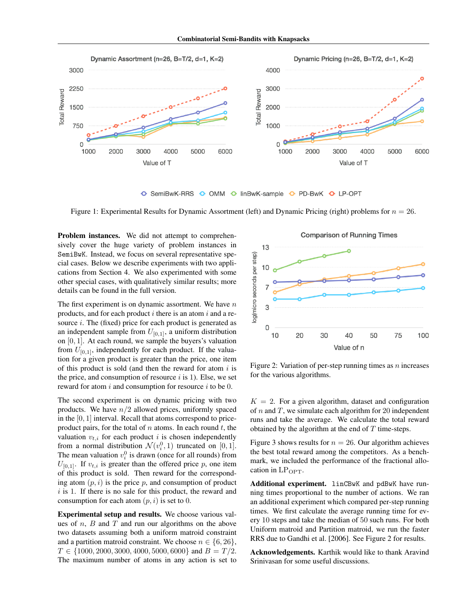

O SemiBwK-RRS O OMM O linBwK-sample O PD-BwK O LP-OPT

Figure 1: Experimental Results for Dynamic Assortment (left) and Dynamic Pricing (right) problems for *n* = 26.

Problem instances. We did not attempt to comprehensively cover the huge variety of problem instances in SemiBwK. Instead, we focus on several representative special cases. Below we describe experiments with two applications from Section 4. We also experimented with some other special cases, with qualitatively similar results; more details can be found in the full version.

The first experiment is on dynamic assortment. We have *n* products, and for each product *i* there is an atom *i* and a resource *i*. The (fixed) price for each product is generated as an independent sample from  $U_{[0,1]}$ , a uniform distribution on [0*,* 1]. At each round, we sample the buyers's valuation from  $U_{[0,1]}$ , independently for each product. If the valuation for a given product is greater than the price, one item of this product is sold (and then the reward for atom *i* is the price, and consumption of resource *i* is 1). Else, we set reward for atom *i* and consumption for resource *i* to be 0.

The second experiment is on dynamic pricing with two products. We have *n/*2 allowed prices, uniformly spaced in the [0*,* 1] interval. Recall that atoms correspond to priceproduct pairs, for the total of *n* atoms. In each round *t*, the valuation  $v_{t,i}$  for each product *i* is chosen independently from a normal distribution  $\mathcal{N}(v_i^0, 1)$  truncated on [0, 1]. The mean valuation  $v_i^0$  is drawn (once for all rounds) from  $U_{[0,1]}$ . If  $v_{t,i}$  is greater than the offered price p, one item of this product is sold. Then reward for the corresponding atom  $(p, i)$  is the price  $p$ , and consumption of product *i* is 1. If there is no sale for this product, the reward and consumption for each atom  $(p, i)$  is set to 0.

Experimental setup and results. We choose various values of *n*, *B* and *T* and run our algorithms on the above two datasets assuming both a uniform matroid constraint and a partition matroid constraint. We choose  $n \in \{6, 26\}$ ,  $T \in \{1000, 2000, 3000, 4000, 5000, 6000\}$  and  $B = T/2$ . The maximum number of atoms in any action is set to

**Comparison of Running Times**  $13$ log(micro seconds per step) 10 3 0 20 30 40 50 75  $10$ 100 Value of n

Figure 2: Variation of per-step running times as *n* increases for the various algorithms.

 $K = 2$ . For a given algorithm, dataset and configuration of *n* and *T*, we simulate each algorithm for 20 independent runs and take the average. We calculate the total reward obtained by the algorithm at the end of *T* time-steps.

Figure 3 shows results for  $n = 26$ . Our algorithm achieves the best total reward among the competitors. As a benchmark, we included the performance of the fractional allocation in  $LP_{\text{OPT}}$ .

Additional experiment. linCBwK and pdBwK have running times proportional to the number of actions. We ran an additional experiment which compared per-step running times. We first calculate the average running time for every 10 steps and take the median of 50 such runs. For both Uniform matroid and Partition matroid, we run the faster RRS due to Gandhi et al. [2006]. See Figure 2 for results.

Acknowledgements. Karthik would like to thank Aravind Srinivasan for some useful discussions.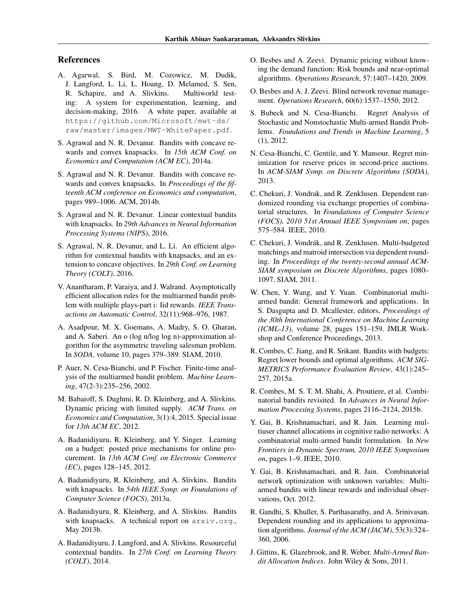# References

- A. Agarwal, S. Bird, M. Cozowicz, M. Dudik, J. Langford, L. Li, L. Hoang, D. Melamed, S. Sen, R. Schapire, and A. Slivkins. Multiworld testing: A system for experimentation, learning, and decision-making, 2016. A white paper, available at https://github.com/Microsoft/mwt-ds/ raw/master/images/MWT-WhitePaper.pdf.
- S. Agrawal and N. R. Devanur. Bandits with concave rewards and convex knapsacks. In *15th ACM Conf. on Economics and Computation (ACM EC)*, 2014a.
- S. Agrawal and N. R. Devanur. Bandits with concave rewards and convex knapsacks. In *Proceedings of the fifteenth ACM conference on Economics and computation*, pages 989–1006. ACM, 2014b.
- S. Agrawal and N. R. Devanur. Linear contextual bandits with knapsacks. In *29th Advances in Neural Information Processing Systems (NIPS)*, 2016.
- S. Agrawal, N. R. Devanur, and L. Li. An efficient algorithm for contextual bandits with knapsacks, and an extension to concave objectives. In *29th Conf. on Learning Theory (COLT)*, 2016.
- V. Anantharam, P. Varaiya, and J. Walrand. Asymptotically efficient allocation rules for the multiarmed bandit problem with multiple plays-part i: Iid rewards. *IEEE Transactions on Automatic Control*, 32(11):968–976, 1987.
- A. Asadpour, M. X. Goemans, A. Madry, S. O. Gharan, and A. Saberi. An o (log n/log log n)-approximation algorithm for the asymmetric traveling salesman problem. In *SODA*, volume 10, pages 379–389. SIAM, 2010.
- P. Auer, N. Cesa-Bianchi, and P. Fischer. Finite-time analysis of the multiarmed bandit problem. *Machine Learning*, 47(2-3):235–256, 2002.
- M. Babaioff, S. Dughmi, R. D. Kleinberg, and A. Slivkins. Dynamic pricing with limited supply. *ACM Trans. on Economics and Computation*, 3(1):4, 2015. Special issue for *13th ACM EC*, 2012.
- A. Badanidiyuru, R. Kleinberg, and Y. Singer. Learning on a budget: posted price mechanisms for online procurement. In *13th ACM Conf. on Electronic Commerce (EC)*, pages 128–145, 2012.
- A. Badanidiyuru, R. Kleinberg, and A. Slivkins. Bandits with knapsacks. In *54th IEEE Symp. on Foundations of Computer Science (FOCS)*, 2013a.
- A. Badanidiyuru, R. Kleinberg, and A. Slivkins. Bandits with knapsacks. A technical report on arxiv.org., May 2013b.
- A. Badanidiyuru, J. Langford, and A. Slivkins. Resourceful contextual bandits. In *27th Conf. on Learning Theory (COLT)*, 2014.
- O. Besbes and A. Zeevi. Dynamic pricing without knowing the demand function: Risk bounds and near-optimal algorithms. *Operations Research*, 57:1407–1420, 2009.
- O. Besbes and A. J. Zeevi. Blind network revenue management. *Operations Research*, 60(6):1537–1550, 2012.
- S. Bubeck and N. Cesa-Bianchi. Regret Analysis of Stochastic and Nonstochastic Multi-armed Bandit Problems. *Foundations and Trends in Machine Learning*, 5 (1), 2012.
- N. Cesa-Bianchi, C. Gentile, and Y. Mansour. Regret minimization for reserve prices in second-price auctions. In *ACM-SIAM Symp. on Discrete Algorithms (SODA)*, 2013.
- C. Chekuri, J. Vondrak, and R. Zenklusen. Dependent randomized rounding via exchange properties of combinatorial structures. In *Foundations of Computer Science (FOCS), 2010 51st Annual IEEE Symposium on*, pages 575–584. IEEE, 2010.
- C. Chekuri, J. Vondrák, and R. Zenklusen. Multi-budgeted matchings and matroid intersection via dependent rounding. In *Proceedings of the twenty-second annual ACM-SIAM symposium on Discrete Algorithms*, pages 1080– 1097. SIAM, 2011.
- W. Chen, Y. Wang, and Y. Yuan. Combinatorial multiarmed bandit: General framework and applications. In S. Dasgupta and D. Mcallester, editors, *Proceedings of the 30th International Conference on Machine Learning (ICML-13)*, volume 28, pages 151–159. JMLR Workshop and Conference Proceedings, 2013.
- R. Combes, C. Jiang, and R. Srikant. Bandits with budgets: Regret lower bounds and optimal algorithms. *ACM SIG-METRICS Performance Evaluation Review*, 43(1):245– 257, 2015a.
- R. Combes, M. S. T. M. Shahi, A. Proutiere, et al. Combinatorial bandits revisited. In *Advances in Neural Information Processing Systems*, pages 2116–2124, 2015b.
- Y. Gai, B. Krishnamachari, and R. Jain. Learning multiuser channel allocations in cognitive radio networks: A combinatorial multi-armed bandit formulation. In *New Frontiers in Dynamic Spectrum, 2010 IEEE Symposium on*, pages 1–9. IEEE, 2010.
- Y. Gai, B. Krishnamachari, and R. Jain. Combinatorial network optimization with unknown variables: Multiarmed bandits with linear rewards and individual observations, Oct. 2012.
- R. Gandhi, S. Khuller, S. Parthasarathy, and A. Srinivasan. Dependent rounding and its applications to approximation algorithms. *Journal of the ACM (JACM)*, 53(3):324– 360, 2006.
- J. Gittins, K. Glazebrook, and R. Weber. *Multi-Armed Bandit Allocation Indices*. John Wiley & Sons, 2011.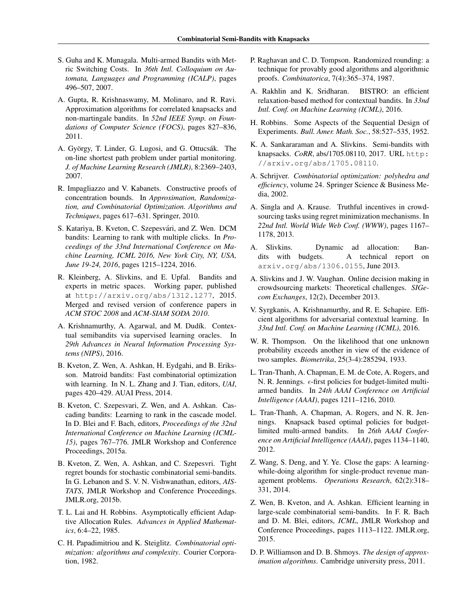- S. Guha and K. Munagala. Multi-armed Bandits with Metric Switching Costs. In *36th Intl. Colloquium on Automata, Languages and Programming (ICALP)*, pages 496–507, 2007.
- A. Gupta, R. Krishnaswamy, M. Molinaro, and R. Ravi. Approximation algorithms for correlated knapsacks and non-martingale bandits. In *52nd IEEE Symp. on Foundations of Computer Science (FOCS)*, pages 827–836, 2011.
- A. György, T. Linder, G. Lugosi, and G. Ottucsák. The on-line shortest path problem under partial monitoring. *J. of Machine Learning Research (JMLR)*, 8:2369–2403, 2007.
- R. Impagliazzo and V. Kabanets. Constructive proofs of concentration bounds. In *Approximation, Randomization, and Combinatorial Optimization. Algorithms and Techniques*, pages 617–631. Springer, 2010.
- S. Katariya, B. Kveton, C. Szepesvári, and Z. Wen. DCM bandits: Learning to rank with multiple clicks. In *Proceedings of the 33nd International Conference on Machine Learning, ICML 2016, New York City, NY, USA, June 19-24, 2016*, pages 1215–1224, 2016.
- R. Kleinberg, A. Slivkins, and E. Upfal. Bandits and experts in metric spaces. Working paper, published at http://arxiv.org/abs/1312.1277, 2015. Merged and revised version of conference papers in *ACM STOC 2008* and *ACM-SIAM SODA 2010*.
- A. Krishnamurthy, A. Agarwal, and M. Dudík. Contextual semibandits via supervised learning oracles. In *29th Advances in Neural Information Processing Systems (NIPS)*, 2016.
- B. Kveton, Z. Wen, A. Ashkan, H. Eydgahi, and B. Eriksson. Matroid bandits: Fast combinatorial optimization with learning. In N. L. Zhang and J. Tian, editors, *UAI*, pages 420–429. AUAI Press, 2014.
- B. Kveton, C. Szepesvari, Z. Wen, and A. Ashkan. Cascading bandits: Learning to rank in the cascade model. In D. Blei and F. Bach, editors, *Proceedings of the 32nd International Conference on Machine Learning (ICML-15)*, pages 767–776. JMLR Workshop and Conference Proceedings, 2015a.
- B. Kveton, Z. Wen, A. Ashkan, and C. Szepesvri. Tight regret bounds for stochastic combinatorial semi-bandits. In G. Lebanon and S. V. N. Vishwanathan, editors, *AIS-TATS*, JMLR Workshop and Conference Proceedings. JMLR.org, 2015b.
- T. L. Lai and H. Robbins. Asymptotically efficient Adaptive Allocation Rules. *Advances in Applied Mathematics*, 6:4–22, 1985.
- C. H. Papadimitriou and K. Steiglitz. *Combinatorial optimization: algorithms and complexity*. Courier Corporation, 1982.
- P. Raghavan and C. D. Tompson. Randomized rounding: a technique for provably good algorithms and algorithmic proofs. *Combinatorica*, 7(4):365–374, 1987.
- A. Rakhlin and K. Sridharan. BISTRO: an efficient relaxation-based method for contextual bandits. In *33nd Intl. Conf. on Machine Learning (ICML)*, 2016.
- H. Robbins. Some Aspects of the Sequential Design of Experiments. *Bull. Amer. Math. Soc.*, 58:527–535, 1952.
- K. A. Sankararaman and A. Slivkins. Semi-bandits with knapsacks. *CoRR*, abs/1705.08110, 2017. URL http: //arxiv.org/abs/1705.08110.
- A. Schrijver. *Combinatorial optimization: polyhedra and efficiency*, volume 24. Springer Science & Business Media, 2002.
- A. Singla and A. Krause. Truthful incentives in crowdsourcing tasks using regret minimization mechanisms. In *22nd Intl. World Wide Web Conf. (WWW)*, pages 1167– 1178, 2013.
- A. Slivkins. Dynamic ad allocation: Bandits with budgets. A technical report on arxiv.org/abs/1306.0155, June 2013.
- A. Slivkins and J. W. Vaughan. Online decision making in crowdsourcing markets: Theoretical challenges. *SIGecom Exchanges*, 12(2), December 2013.
- V. Syrgkanis, A. Krishnamurthy, and R. E. Schapire. Efficient algorithms for adversarial contextual learning. In *33nd Intl. Conf. on Machine Learning (ICML)*, 2016.
- W. R. Thompson. On the likelihood that one unknown probability exceeds another in view of the evidence of two samples. *Biometrika*, 25(3-4):285294, 1933.
- L. Tran-Thanh, A. Chapman, E. M. de Cote, A. Rogers, and N. R. Jennings.  $\epsilon$ -first policies for budget-limited multiarmed bandits. In *24th AAAI Conference on Artificial Intelligence (AAAI)*, pages 1211–1216, 2010.
- L. Tran-Thanh, A. Chapman, A. Rogers, and N. R. Jennings. Knapsack based optimal policies for budgetlimited multi-armed bandits. In *26th AAAI Conference on Artificial Intelligence (AAAI)*, pages 1134–1140, 2012.
- Z. Wang, S. Deng, and Y. Ye. Close the gaps: A learningwhile-doing algorithm for single-product revenue management problems. *Operations Research*, 62(2):318– 331, 2014.
- Z. Wen, B. Kveton, and A. Ashkan. Efficient learning in large-scale combinatorial semi-bandits. In F. R. Bach and D. M. Blei, editors, *ICML*, JMLR Workshop and Conference Proceedings, pages 1113–1122. JMLR.org, 2015.
- D. P. Williamson and D. B. Shmoys. *The design of approximation algorithms*. Cambridge university press, 2011.